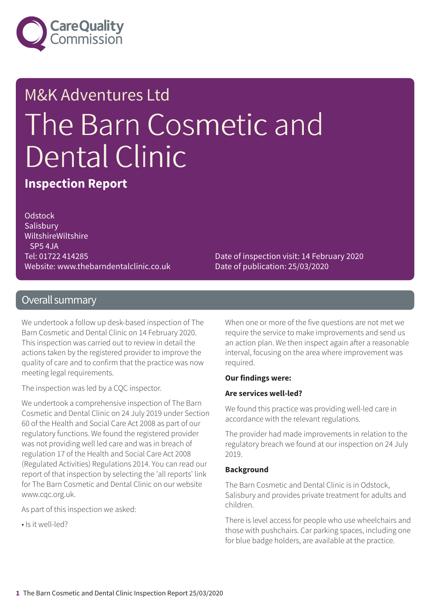

# M&K Adventures Ltd The Barn Cosmetic and Dental Clinic

**Inspection Report**

**Odstock Salisbury** WiltshireWiltshire SP5 4JA Tel: 01722 414285 Website: www.thebarndentalclinic.co.uk

Date of inspection visit: 14 February 2020 Date of publication: 25/03/2020

### Overall summary

We undertook a follow up desk-based inspection of The Barn Cosmetic and Dental Clinic on 14 February 2020. This inspection was carried out to review in detail the actions taken by the registered provider to improve the quality of care and to confirm that the practice was now meeting legal requirements.

The inspection was led by a CQC inspector.

We undertook a comprehensive inspection of The Barn Cosmetic and Dental Clinic on 24 July 2019 under Section 60 of the Health and Social Care Act 2008 as part of our regulatory functions. We found the registered provider was not providing well led care and was in breach of regulation 17 of the Health and Social Care Act 2008 (Regulated Activities) Regulations 2014. You can read our report of that inspection by selecting the 'all reports' link for The Barn Cosmetic and Dental Clinic on our website www.cqc.org.uk.

As part of this inspection we asked:

• Is it well-led?

When one or more of the five questions are not met we require the service to make improvements and send us an action plan. We then inspect again after a reasonable interval, focusing on the area where improvement was required.

#### **Our findings were:**

#### **Are services well-led?**

We found this practice was providing well-led care in accordance with the relevant regulations.

The provider had made improvements in relation to the regulatory breach we found at our inspection on 24 July 2019.

#### **Background**

The Barn Cosmetic and Dental Clinic is in Odstock, Salisbury and provides private treatment for adults and children.

There is level access for people who use wheelchairs and those with pushchairs. Car parking spaces, including one for blue badge holders, are available at the practice.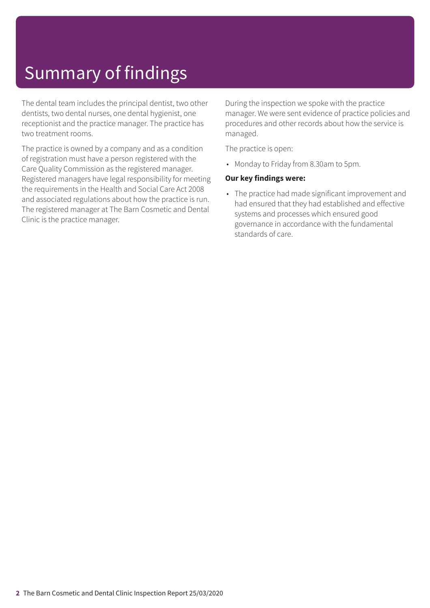# Summary of findings

The dental team includes the principal dentist, two other dentists, two dental nurses, one dental hygienist, one receptionist and the practice manager. The practice has two treatment rooms.

The practice is owned by a company and as a condition of registration must have a person registered with the Care Quality Commission as the registered manager. Registered managers have legal responsibility for meeting the requirements in the Health and Social Care Act 2008 and associated regulations about how the practice is run. The registered manager at The Barn Cosmetic and Dental Clinic is the practice manager.

During the inspection we spoke with the practice manager. We were sent evidence of practice policies and procedures and other records about how the service is managed.

The practice is open:

• Monday to Friday from 8.30am to 5pm.

#### **Our key findings were:**

• The practice had made significant improvement and had ensured that they had established and effective systems and processes which ensured good governance in accordance with the fundamental standards of care.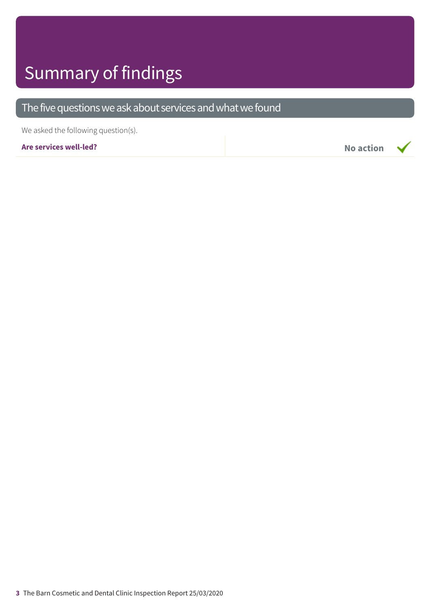### Summary of findings

### The five questions we ask about services and what we found

We asked the following question(s).

**Are services well-led? No action**